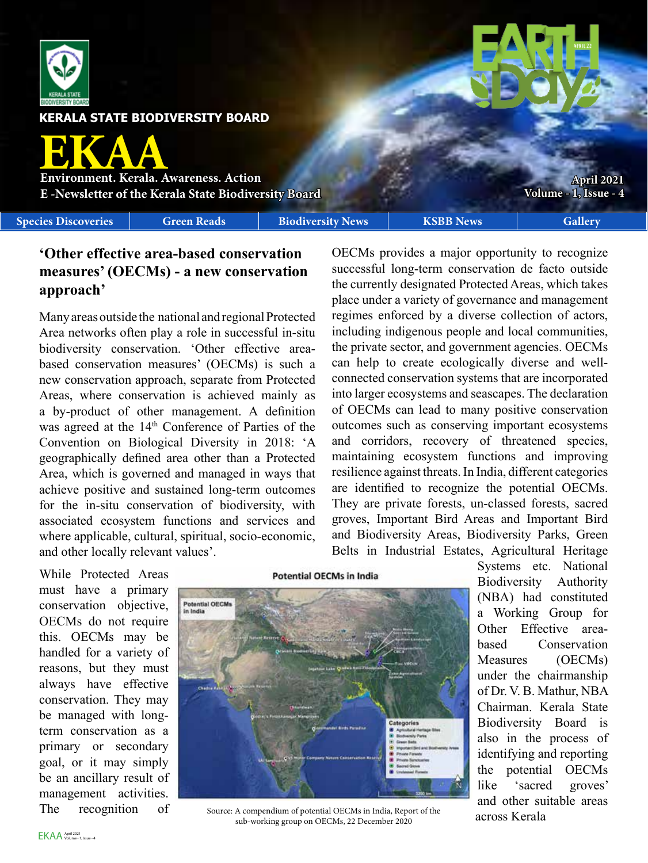

**KERALA STATE BIODIVERSITY BOARD**

**EKAA Environment. Kerala. Awareness. Action**

**E -Newsletter of the Kerala State Biodiversity Board**

**Species Discoveries Green Reads Biodiversity News KSBB News Gallery** 

**Volume - [1,](#page--1-0) Issue - [4](#page-2-0)**

**April 2021**

# **'Other effective area-based conservation measures' (OECMs) - a new conservation approach'**

Many areas outside the national and regional Protected Area networks often play a role in successful in-situ biodiversity conservation. 'Other effective areabased conservation measures' (OECMs) is such a new conservation approach, separate from Protected Areas, where conservation is achieved mainly as a by-product of other management. A definition was agreed at the 14<sup>th</sup> Conference of Parties of the Convention on Biological Diversity in 2018: 'A geographically defined area other than a Protected Area, which is governed and managed in ways that achieve positive and sustained long-term outcomes for the in-situ conservation of biodiversity, with associated ecosystem functions and services and where applicable, cultural, spiritual, socio-economic, and other locally relevant values'.

OECMs provides a major opportunity to recognize successful long-term conservation de facto outside the currently designated Protected Areas, which takes place under a variety of governance and management regimes enforced by a diverse collection of actors, including indigenous people and local communities, the private sector, and government agencies. OECMs can help to create ecologically diverse and wellconnected conservation systems that are incorporated into larger ecosystems and seascapes. The declaration of OECMs can lead to many positive conservation outcomes such as conserving important ecosystems and corridors, recovery of threatened species, maintaining ecosystem functions and improving resilience against threats. In India, different categories are identified to recognize the potential OECMs. They are private forests, un-classed forests, sacred groves, Important Bird Areas and Important Bird and Biodiversity Areas, Biodiversity Parks, Green Belts in Industrial Estates, Agricultural Heritage

While Protected Areas must have a primary conservation objective, OECMs do not require this. OECMs may be handled for a variety of reasons, but they must always have effective conservation. They may be managed with longterm conservation as a primary or secondary goal, or it may simply be an ancillary result of management activities. The recognition of





Source: A compendium of potential OECMs in India, Report of the sub-working group on OECMs, 22 December 2020

Systems etc. National Biodiversity Authority (NBA) had constituted a Working Group for Other Effective areabased Conservation Measures (OECMs) under the chairmanship of Dr. V. B. Mathur, NBA Chairman. Kerala State Biodiversity Board is also in the process of identifying and reporting the potential OECMs like 'sacred groves' and other suitable areas across Kerala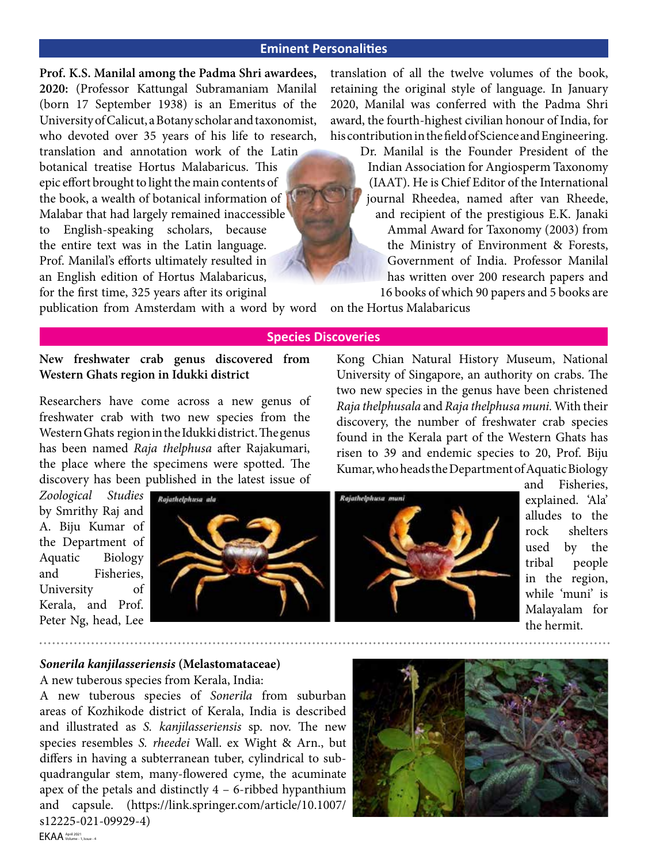# **Eminent Personalities**

**Prof. K.S. Manilal among the Padma Shri awardees, 2020:** (Professor Kattungal Subramaniam Manilal (born 17 September 1938) is an Emeritus of the University of Calicut, a Botany scholar and taxonomist, who devoted over 35 years of his life to research, translation and annotation work of the Latin

botanical treatise Hortus Malabaricus. This epic effort brought to light the main contents of the book, a wealth of botanical information of Malabar that had largely remained inaccessible to English-speaking scholars, because the entire text was in the Latin language. Prof. Manilal's efforts ultimately resulted in an English edition of Hortus Malabaricus, for the first time, 325 years after its original

publication from Amsterdam with a word by word on the Hortus Malabaricus

translation of all the twelve volumes of the book, retaining the original style of language. In January 2020, Manilal was conferred with the Padma Shri award, the fourth-highest civilian honour of India, for his contribution in the field of Science and Engineering.

> Dr. Manilal is the Founder President of the Indian Association for Angiosperm Taxonomy (IAAT). He is Chief Editor of the International journal Rheedea, named after van Rheede, and recipient of the prestigious E.K. Janaki Ammal Award for Taxonomy (2003) from the Ministry of Environment & Forests, Government of India. Professor Manilal has written over 200 research papers and 16 books of which 90 papers and 5 books are

## **Species Discoveries**

**New freshwater crab genus discovered from Western Ghats region in Idukki district**

Researchers have come across a new genus of freshwater crab with two new species from the Western Ghats region in the Idukki district. The genus has been named *Raja thelphusa* after Rajakumari, the place where the specimens were spotted. The discovery has been published in the latest issue of

*Zoological Studies* by Smrithy Raj and A. Biju Kumar of the Department of Aquatic Biology and Fisheries, University of Kerala, and Prof. Peter Ng, head, Lee



University of Singapore, an authority on crabs. The two new species in the genus have been christened *Raja thelphusala* and *Raja thelphusa muni.* With their discovery, the number of freshwater crab species found in the Kerala part of the Western Ghats has risen to 39 and endemic species to 20, Prof. Biju Kumar, who heads the Department of Aquatic Biology

Kong Chian Natural History Museum, National



### *Sonerila kanjilasseriensis* **(Melastomataceae)**

A new tuberous species from Kerala, India:

A new tuberous species of *Sonerila* from suburban areas of Kozhikode district of Kerala, India is described and illustrated as *S. kanjilasseriensis* sp. nov. The new species resembles *S. rheedei* Wall. ex Wight & Arn., but differs in having a subterranean tuber, cylindrical to subquadrangular stem, many-flowered cyme, the acuminate apex of the petals and distinctly 4 – 6-ribbed hypanthium and capsule. (https://link.springer.com/article/10.1007/ s12225-021-09929-4)

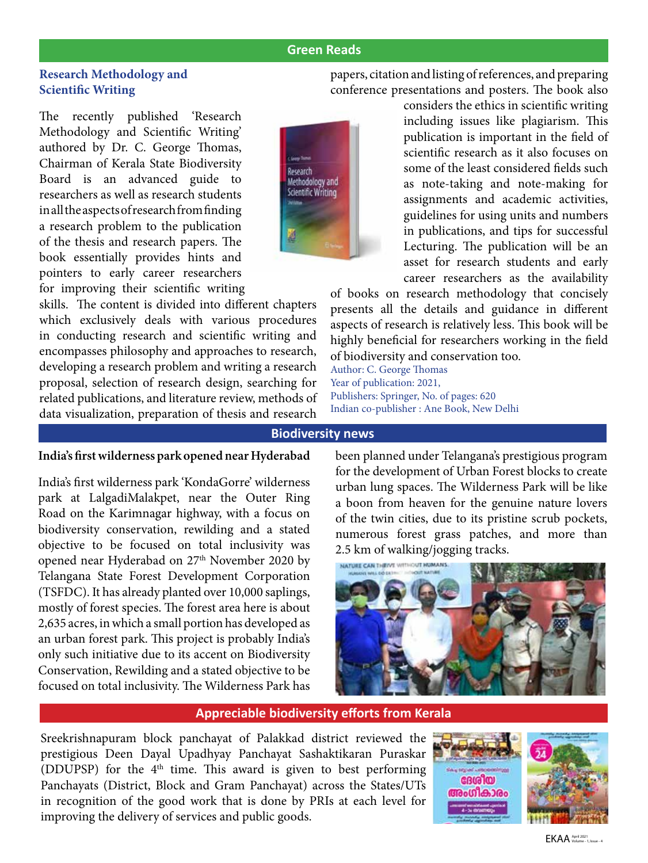# **Green Reads**

# <span id="page-2-0"></span>**Research Methodology and Scientific Writing**

The recently published 'Research Methodology and Scientific Writing' authored by Dr. C. George Thomas, Chairman of Kerala State Biodiversity Board is an advanced guide to researchers as well as research students in all the aspects of research from finding a research problem to the publication of the thesis and research papers. The book essentially provides hints and pointers to early career researchers for improving their scientific writing



skills. The content is divided into different chapters which exclusively deals with various procedures in conducting research and scientific writing and encompasses philosophy and approaches to research, developing a research problem and writing a research proposal, selection of research design, searching for related publications, and literature review, methods of data visualization, preparation of thesis and research papers, citation and listing of references, and preparing conference presentations and posters. The book also

> considers the ethics in scientific writing including issues like plagiarism. This publication is important in the field of scientific research as it also focuses on some of the least considered fields such as note-taking and note-making for assignments and academic activities, guidelines for using units and numbers in publications, and tips for successful Lecturing. The publication will be an asset for research students and early career researchers as the availability

of books on research methodology that concisely presents all the details and guidance in different aspects of research is relatively less. This book will be highly beneficial for researchers working in the field of biodiversity and conservation too.

Author: C. George Thomas Year of publication: 2021, Publishers: Springer, No. of pages: 620 Indian co-publisher : Ane Book, New Delhi

#### **Biodiversity news**

### **India's first wilderness park opened near Hyderabad**

India's first wilderness park 'KondaGorre' wilderness park at LalgadiMalakpet, near the Outer Ring Road on the Karimnagar highway, with a focus on biodiversity conservation, rewilding and a stated objective to be focused on total inclusivity was opened near Hyderabad on 27<sup>th</sup> November 2020 by Telangana State Forest Development Corporation (TSFDC). It has already planted over 10,000 saplings, mostly of forest species. The forest area here is about 2,635 acres, in which a small portion has developed as an urban forest park. This project is probably India's only such initiative due to its accent on Biodiversity Conservation, Rewilding and a stated objective to be focused on total inclusivity. The Wilderness Park has been planned under Telangana's prestigious program for the development of Urban Forest blocks to create urban lung spaces. The Wilderness Park will be like a boon from heaven for the genuine nature lovers of the twin cities, due to its pristine scrub pockets, numerous forest grass patches, and more than 2.5 km of walking/jogging tracks.



#### **Appreciable biodiversity efforts from Kerala**

Sreekrishnapuram block panchayat of Palakkad district reviewed the prestigious Deen Dayal Upadhyay Panchayat Sashaktikaran Puraskar (DDUPSP) for the  $4<sup>th</sup>$  time. This award is given to best performing Panchayats (District, Block and Gram Panchayat) across the States/UTs in recognition of the good work that is done by PRIs at each level for improving the delivery of services and public goods.